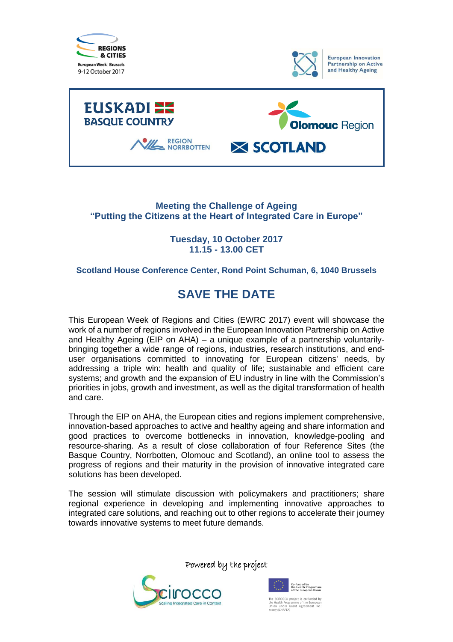





### **Meeting the Challenge of Ageing "Putting the Citizens at the Heart of Integrated Care in Europe"**

**Tuesday, 10 October 2017 11.15 - 13.00 CET**

### **Scotland House Conference Center, Rond Point Schuman, 6, 1040 Brussels**

## **SAVE THE DATE**

This European Week of Regions and Cities (EWRC 2017) event will showcase the work of a number of regions involved in the European Innovation Partnership on Active and Healthy Ageing (EIP on AHA) – a unique example of a partnership voluntarilybringing together a wide range of regions, industries, research institutions, and enduser organisations committed to innovating for European citizens' needs, by addressing a triple win: health and quality of life; sustainable and efficient care systems; and growth and the expansion of EU industry in line with the Commission's priorities in jobs, growth and investment, as well as the digital transformation of health and care.

Through the EIP on AHA, the European cities and regions implement comprehensive, innovation-based approaches to active and healthy ageing and share information and good practices to overcome bottlenecks in innovation, knowledge-pooling and resource-sharing. As a result of close collaboration of four Reference Sites (the Basque Country, Norrbotten, Olomouc and Scotland), an online tool to assess the progress of regions and their maturity in the provision of innovative integrated care solutions has been developed.

The session will stimulate discussion with policymakers and practitioners; share regional experience in developing and implementing innovative approaches to integrated care solutions, and reaching out to other regions to accelerate their journey towards innovative systems to meet future demands.

Powered by the project





e SCIROCCO project is co-funded<br>: Health Programme of the Europe<br>ion under Grant Agreement M<br>1033 (CHAFEA)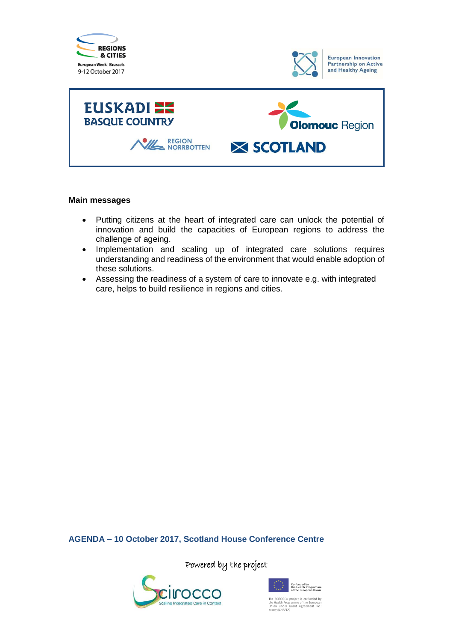





#### **Main messages**

- Putting citizens at the heart of integrated care can unlock the potential of innovation and build the capacities of European regions to address the challenge of ageing.
- Implementation and scaling up of integrated care solutions requires understanding and readiness of the environment that would enable adoption of these solutions.
- Assessing the readiness of a system of care to innovate e.g. with integrated care, helps to build resilience in regions and cities.

**AGENDA – 10 October 2017, Scotland House Conference Centre**

Powered by the project





The SCIROCCO project is co-funded by<br>the Health Programme of the European<br>Union under Grant Agreement No.<br>710033 (CHAFEA)